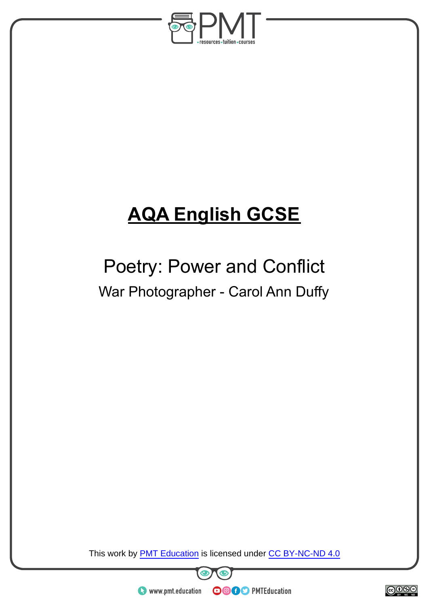

# **AQA English GCSE**

## Poetry: Power and Conflict War Photographer - Carol Ann Duffy

This work by **PMT Education** is licensed under CC BY-NC-ND 4.0





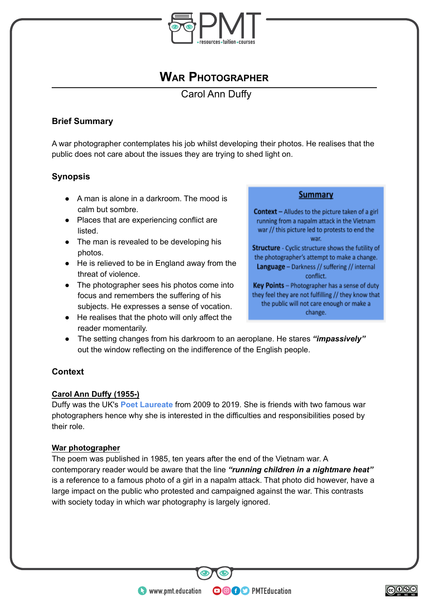

## **WAR PHOTOGRAPHER**

Carol Ann Duffy

## **Brief Summary**

A war photographer contemplates his job whilst developing their photos. He realises that the public does not care about the issues they are trying to shed light on.

## **Synopsis**

- A man is alone in a darkroom. The mood is calm but sombre.
- Places that are experiencing conflict are listed.
- The man is revealed to be developing his photos.
- He is relieved to be in England away from the threat of violence.
- The photographer sees his photos come into focus and remembers the suffering of his subjects. He expresses a sense of vocation.
- He realises that the photo will only affect the reader momentarily.

#### **Summary**

Context - Alludes to the picture taken of a girl running from a napalm attack in the Vietnam war // this picture led to protests to end the war.

Structure - Cyclic structure shows the futility of the photographer's attempt to make a change. Language - Darkness // suffering // internal conflict.

Key Points - Photographer has a sense of duty they feel they are not fulfilling // they know that the public will not care enough or make a change.

● The setting changes from his darkroom to an aeroplane. He stares *"impassively"* out the window reflecting on the indifference of the English people.

## **Context**

#### **Carol Ann Duffy (1955-)**

Duffy was the UK's **Poet Laureate** from 2009 to 2019. She is friends with two famous war photographers hence why she is interested in the difficulties and responsibilities posed by their role.

#### **War photographer**

The poem was published in 1985, ten years after the end of the Vietnam war. A contemporary reader would be aware that the line *"running children in a nightmare heat"* is a reference to a famous photo of a girl in a napalm attack. That photo did however, have a large impact on the public who protested and campaigned against the war. This contrasts with society today in which war photography is largely ignored.

**OOOO** PMTEducation

www.pmt.education

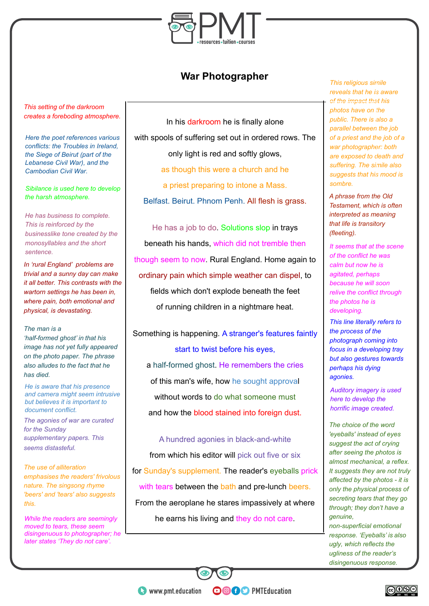

## **War Photographer**

*This setting of the darkroom creates a foreboding atmosphere.*

*Here the poet references various conflicts: the Troubles in Ireland, the Siege of Beirut (part of the Lebanese Civil War), and the Cambodian Civil War.*

*Sibilance is used here to develop the harsh atmosphere.*

*He has business to complete. This is reinforced by the businesslike tone created by the monosyllables and the short sentence.*

*In 'rural England' problems are trivial and a sunny day can make it all better. This contrasts with the wartorn settings he has been in, where pain, both emotional and physical, is devastating.*

#### *The man is a*

*'half-formed ghost' in that his image has not yet fully appeared on the photo paper. The phrase also alludes to the fact that he has died.*

*He is aware that his presence and camera might seem intrusive but believes it is important to document conflict.*

*The agonies of war are curated for the Sunday .supplementary papers. This seems distasteful.*

*The use of alliteration emphasises the readers' frivolous nature. The singsong rhyme 'beers' and 'tears' also suggests this.*

*While the readers are seemingly moved to tears, these seem disingenuous to photographer; he later states 'They do not care'.*

In his darkroom he is finally alone with spools of suffering set out in ordered rows. The only light is red and softly glows, as though this were a church and he a priest preparing to intone a Mass. Belfast. Beirut. Phnom Penh. All flesh is grass.

He has a job to do. Solutions slop in trays beneath his hands, which did not tremble then though seem to now. Rural England. Home again to ordinary pain which simple weather can dispel, to fields which don't explode beneath the feet of running children in a nightmare heat.

Something is happening. A stranger's features faintly start to twist before his eyes, a half-formed ghost. He remembers the cries of this man's wife, how he sought approval without words to do what someone must and how the blood stained into foreign dust.

A hundred agonies in black-and-white from which his editor will pick out five or six for Sunday's supplement. The reader's eyeballs prick with tears between the bath and pre-lunch beers. From the aeroplane he stares impassively at where he earns his living and they do not care.

**OOOO** PMTEducation

*This religious simile reveals that he is aware of the impact that his photos have on the public. There is also a parallel between the job of a priest and the job of a war photographer: both are exposed to death and suffering. The simile also suggests that his mood is sombre.*

*A phrase from the Old Testament, which is often interpreted as meaning that life is transitory (fleeting).*

*It seems that at the scene of the conflict he was calm but now he is agitated, perhaps because he will soon relive the conflict through the photos he is developing.*

*This line literally refers to the process of the photograph coming into focus in a developing tray but also gestures towards perhaps his dying agonies.*

*Auditory imagery is used here to develop the horrific image created.*

*The choice of the word 'eyeballs' instead of eyes suggest the act of crying after seeing the photos is almost mechanical, a reflex. It suggests they are not truly affected by the photos - it is only the physical process of secreting tears that they go through; they don't have a genuine,*

*non-superficial emotional response. 'Eyeballs' is also ugly, which reflects the ugliness of the reader's disingenuous response.*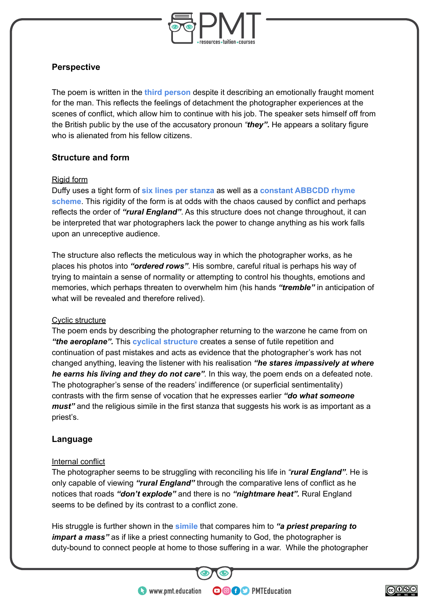

## **Perspective**

The poem is written in the **third person** despite it describing an emotionally fraught moment for the man. This reflects the feelings of detachment the photographer experiences at the scenes of conflict, which allow him to continue with his job. The speaker sets himself off from the British public by the use of the accusatory pronoun *"they"***.** He appears a solitary figure who is alienated from his fellow citizens.

## **Structure and form**

#### Rigid form

Duffy uses a tight form of **six lines per stanza** as well as a **constant ABBCDD rhyme scheme**. This rigidity of the form is at odds with the chaos caused by conflict and perhaps reflects the order of *"rural England"*. As this structure does not change throughout, it can be interpreted that war photographers lack the power to change anything as his work falls upon an unreceptive audience.

The structure also reflects the meticulous way in which the photographer works, as he places his photos into *"ordered rows"*. His sombre, careful ritual is perhaps his way of trying to maintain a sense of normality or attempting to control his thoughts, emotions and memories, which perhaps threaten to overwhelm him (his hands *"tremble"* in anticipation of what will be revealed and therefore relived).

#### Cyclic structure

The poem ends by describing the photographer returning to the warzone he came from on *"the aeroplane".* This **cyclical structure** creates a sense of futile repetition and continuation of past mistakes and acts as evidence that the photographer's work has not changed anything, leaving the listener with his realisation *"he stares impassively at where he earns his living and they do not care".* In this way, the poem ends on a defeated note. The photographer's sense of the readers' indifference (or superficial sentimentality) contrasts with the firm sense of vocation that he expresses earlier *"do what someone must*" and the religious simile in the first stanza that suggests his work is as important as a priest's.

#### **Language**

#### Internal conflict

The photographer seems to be struggling with reconciling his life in *"rural England"*. He is only capable of viewing *"rural England"* through the comparative lens of conflict as he notices that roads *"don't explode"* and there is no *"nightmare heat".* Rural England seems to be defined by its contrast to a conflict zone.

His struggle is further shown in the **simile** that compares him to *"a priest preparing to impart a mass* as if like a priest connecting humanity to God, the photographer is duty-bound to connect people at home to those suffering in a war. While the photographer

**OOOO** PMTEducation

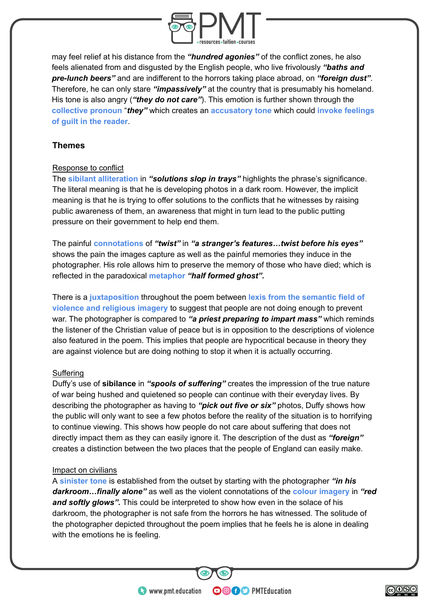

may feel relief at his distance from the *"hundred agonies"* of the conflict zones, he also feels alienated from and disgusted by the English people, who live frivolously *"baths and pre-lunch beers"* and are indifferent to the horrors taking place abroad, on *"foreign dust"*. Therefore, he can only stare *"impassively"* at the country that is presumably his homeland. His tone is also angry (*"they do not care"*). This emotion is further shown through the **collective pronoun** "*they"* which creates an **accusatory tone** which could **invoke feelings of guilt in the reader**.

## **Themes**

#### Response to conflict

The **sibilant alliteration** in *"solutions slop in trays"* highlights the phrase's significance. The literal meaning is that he is developing photos in a dark room. However, the implicit meaning is that he is trying to offer solutions to the conflicts that he witnesses by raising public awareness of them, an awareness that might in turn lead to the public putting pressure on their government to help end them.

The painful **connotations** of *"twist"* in *"a stranger's features…twist before his eyes"* shows the pain the images capture as well as the painful memories they induce in the photographer. His role allows him to preserve the memory of those who have died; which is reflected in the paradoxical **metaphor** *"half formed ghost".*

There is a **juxtaposition** throughout the poem between **lexis from the semantic field of violence and religious imagery** to suggest that people are not doing enough to prevent war. The photographer is compared to *"a priest preparing to impart mass"* which reminds the listener of the Christian value of peace but is in opposition to the descriptions of violence also featured in the poem. This implies that people are hypocritical because in theory they are against violence but are doing nothing to stop it when it is actually occurring.

#### Suffering

Duffy's use of **sibilance** in *"spools of suffering"* creates the impression of the true nature of war being hushed and quietened so people can continue with their everyday lives. By describing the photographer as having to *"pick out five or six"* photos, Duffy shows how the public will only want to see a few photos before the reality of the situation is to horrifying to continue viewing. This shows how people do not care about suffering that does not directly impact them as they can easily ignore it. The description of the dust as *"foreign"* creates a distinction between the two places that the people of England can easily make.

#### Impact on civilians

A **sinister tone** is established from the outset by starting with the photographer *"in his darkroom…finally alone"* as well as the violent connotations of the **colour imagery** in *"red and softly glows".* This could be interpreted to show how even in the solace of his darkroom, the photographer is not safe from the horrors he has witnessed. The solitude of the photographer depicted throughout the poem implies that he feels he is alone in dealing with the emotions he is feeling.

**OOOO** PMTEducation

www.pmt.education